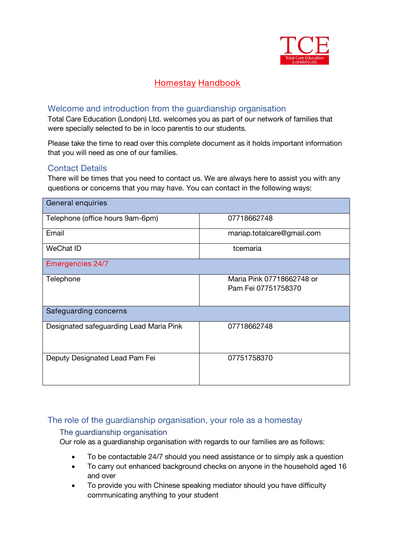

# **Homestay Handbook**

#### Welcome and introduction from the guardianship organisation

*Total Care Education (London) Ltd. welcomes you as part of our network of families that were specially selected to be in loco parentis to our students.*

*Please take the time to read over this complete document as it holds important information that you will need as one of our families.*

## Contact Details

There will be times that you need to contact us. We are always here to assist you with any questions or concerns that you may have. You can contact in the following ways:

| General enquiries                       |                                                  |
|-----------------------------------------|--------------------------------------------------|
| Telephone (office hours 9am-6pm)        | 07718662748                                      |
| Email                                   | mariap.totalcare@gmail.com                       |
| <b>WeChat ID</b>                        | tcemaria                                         |
| Emergencies 24/7                        |                                                  |
| Telephone                               | Maria Pink 07718662748 or<br>Pam Fei 07751758370 |
| Safeguarding concerns                   |                                                  |
| Designated safeguarding Lead Maria Pink | 07718662748                                      |
| Deputy Designated Lead Pam Fei          | 07751758370                                      |

#### The role of the guardianship organisation, your role as a homestay

#### The guardianship organisation

*Our role as a guardianship organisation with regards to our families are as follows:*

- *To be contactable 24/7 should you need assistance or to simply ask a question*
- *To carry out enhanced background checks on anyone in the household aged 16 and over*
- *To provide you with Chinese speaking mediator should you have difficulty communicating anything to your student*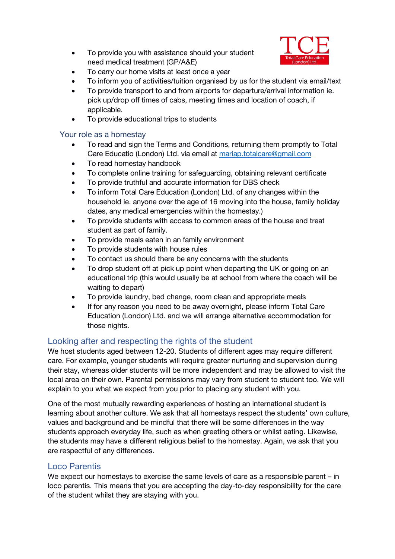*To provide you with assistance should your student need medical treatment (GP/A&E)*



- *To carry our home visits at least once a year*
- *To inform you of activities/tuition organised by us forthe student via email/text*
- *To provide transport to and from airports for departure/arrival information ie. pick up/drop off times of cabs, meeting times and location of coach, if applicable.*
- *To provide educational trips to students*

#### Your role as a homestay

- *To read and sign the Terms and Conditions, returning them promptly to Total Care Educatio (London) Ltd. via email at [mariap.totalcare@gmail.com](mailto:mariap.totalcare@gmail.com)*
- *To read homestay handbook*
- *To complete online training for safeguarding, obtaining relevant certificate*
- *To provide truthful and accurate information for DBS check*
- *To inform Total Care Education (London) Ltd. of any changes within the household ie. anyone over the age of 16 moving into the house, family holiday dates, any medical emergencies within the homestay.)*
- *To provide students with access to common areas of the house and treat student as part of family.*
- *To provide meals eaten in an family environment*
- *To provide students with house rules*
- *To contact us should there be any concerns with the students*
- *To drop student off at pick up point when departing the UK orgoing on an educational trip (thiswould usually be at school from where the coach will be waiting to depart)*
- *To provide laundry, bed change, room clean and appropriate meals*
- *If for any reason you need to be away overnight, please inform Total Care Education (London) Ltd. and we will arrange alternative accommodation for those nights.*

## Looking after and respecting the rights of the student

We host students aged between *12-20.* Students of different ages may require different care. For example, younger students will require greater nurturing and supervision during their stay, whereas older students will be more independent and may be allowed to visit the local area on their own. Parental permissions may vary from student to student too.We will explain to you what we expect from you prior to placing any student with you.

One of the most mutually rewarding experiences of hosting an international student is learning about another culture. We ask that all homestays respect the students' own culture, values and background and be mindful that there will be some differences in the way students approach everyday life, such as when greeting others or whilst eating. Likewise, the students may have a different religious belief to the homestay. Again, we ask that you are respectful of any differences.

#### Loco Parentis

We expect our homestays to exercise the same levels of care as a responsible parent – in loco parentis. This means that you are accepting the day-to-day responsibility for the care of the student whilst they are staying with you.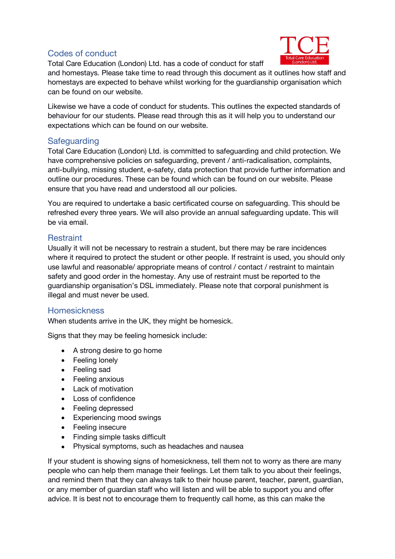# Codes of conduct



*Total Care Education (London) Ltd.* has a code of conduct for staff

and homestays. Please take time to read through this document as it outlines how staff and homestays are expected to behave whilst working for the guardianship organisation which can be found on our website.

Likewise we have a code of conduct for students. This outlines the expected standards of behaviour for our students. Please read through this as it will help you to understand our expectations which can be found on our website.

## **Safeguarding**

*Total Care Education (London) Ltd.* is committed to safeguarding and child protection. We have comprehensive policies on safeguarding, prevent / anti-radicalisation, complaints, anti-bullying, missing student, e-safety, data protection that provide further information and outline our procedures. These can be found which can be found on our website. Please ensure that you have read and understood all our policies.

You are required to undertake a basic certificated course on safeguarding. This should be refreshed every three years. We will also provide an annual safeguarding update. This will be via *email.*

# **Restraint**

Usually it will not be necessary to restrain a student, but there may be rare incidences where it required to protect the student or other people. If restraint is used, you should only use lawful and reasonable/ appropriate means of control / contact / restraint to maintain safety and good order in the homestay. Any use of restraint must be reported to the guardianship organisation's DSL immediately. Please note that corporal punishment is illegal and must never be used.

## Homesickness

When students arrive in the UK, they might be homesick.

Signs that they may be feeling homesick include:

- A strong desire to go home
- Feeling lonely
- Feeling sad
- Feeling anxious
- Lack of motivation
- Loss of confidence
- Feeling depressed
- Experiencing mood swings
- Feeling insecure
- Finding simple tasks difficult
- Physical symptoms, such as headaches and nausea

If your student is showing signs of homesickness, tell them not to worry as there are many people who can help them manage their feelings. Let them talk to you about their feelings, and remind them that they can always talk to their house parent, teacher, parent, guardian, or any member of guardian staff who will listen and will be able to support you and offer advice. It is best not to encourage them to frequently call home, as this can make the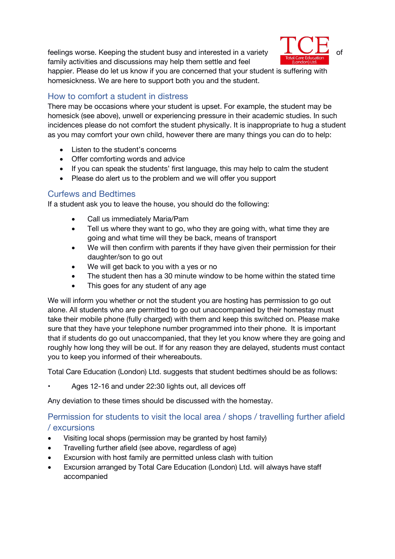feelings worse. Keeping the student busy and interested in a variety family activities and discussions may help them settle and feel



happier. Please do let us know if you are concerned that your student is suffering with homesickness. We are here to support both you and the student.

# How to comfort a student in distress

There may be occasions where your student is upset. For example, the student may be homesick (see above), unwell or experiencing pressure in their academic studies. In such incidences please do not comfort the student physically. It is inappropriate to hug a student as you may comfort your own child, however there are many things you can do to help:

- Listen to the student's concerns
- Offer comforting words and advice
- If you can speak the students' first language, this may help to calm the student
- Please do alert us to the problem and we will offer you support

# Curfews and Bedtimes

If a student ask you to leave the house, you should do the following:

- Call us immediately Maria/Pam
- Tell us where they want to go, who they are going with, what time they are going and what time will they be back, means of transport
- We will then confirm with parents if they have given their permission for their daughter/son to go out
- We will get back to you with a yes or no
- The student then has a 30 minute window to be home within the stated time
- This goes for any student of any age

We will inform you whether or not the student you are hosting has permission to go out alone. All students who are permitted to go out unaccompanied by their homestay must take their mobile phone (fully charged) with them and keep this switched on. Please make sure that they have your telephone number programmed into their phone. It is important that if students do go out unaccompanied, that they let you know where they are going and roughly how long they will be out. If for any reason they are delayed, students must contact you to keep you informed of their whereabouts.

*Total Care Education (London) Ltd.* suggests that student bedtimes should be as follows:

• Ages 12-16 and under 22:30 lights out, all devices off

Any deviation to these times should be discussed with the homestay.

# Permission for students to visit the local area / shops / travelling further afield / excursions

- *Visiting local shops (permission may be granted by host family)*
- *Travelling further afield (see above, regardless of age)*
- *Excursion with host family are permitted unless clash with tuition*
- *Excursion arranged by Total Care Education (London) Ltd. will always have staff accompanied*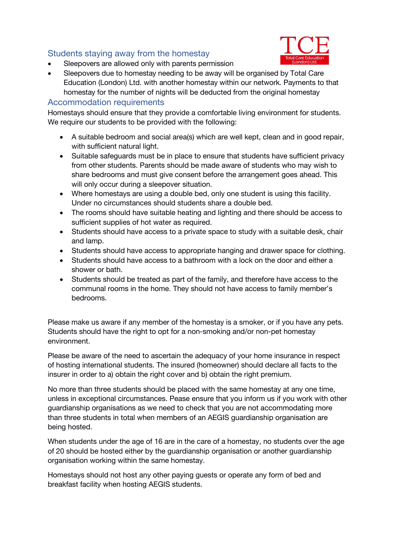# Students staying away from the homestay

*Sleepovers are allowed onlywith parents permission*



 *Sleepovers due to homestay needing to be away will be organised by Total Care Education (London) Ltd. with another homestay within our network. Payments to that homestay for the number of nights will be deducted from the original homestay*

#### Accommodation requirements

Homestays should ensure that they provide a comfortable living environment for students. We require our students to be provided with the following:

- A suitable bedroom and social area(s) which are well kept, clean and in good repair, with sufficient natural light.
- Suitable safeguards must be in place to ensure that students have sufficient privacy from other students. Parents should be made aware of students who may wish to share bedrooms and must give consent before the arrangement goes ahead. This will only occur during a sleepover situation.
- Where homestays are using a double bed, only one student is using this facility. Under no circumstances should students share a double bed.
- The rooms should have suitable heating and lighting and there should be access to sufficient supplies of hot water as required.
- Students should have access to a private space to study with a suitable desk, chair and lamp.
- Students should have access to appropriate hanging and drawer space for clothing.
- Students should have access to a bathroom with a lock on the door and either a shower or bath.
- Students should be treated as part of the family, and therefore have access to the communal rooms in the home. They should not have access to family member's bedrooms.

Please make us aware if any member of the homestay is a smoker, or if you have any pets. Students should have the right to opt for a non-smoking and/or non-pet homestay environment.

Please be aware of the need to ascertain the adequacy of your home insurance in respect of hosting international students. The insured (homeowner) should declare all facts to the insurer in order to a) obtain the right cover and b) obtain the right premium.

No more than three students should be placed with the same homestay at any one time, unless in exceptional circumstances. Pease ensure that you inform us if you work with other guardianship organisations as we need to check that you are not accommodating more than three students in total when members of an AEGIS guardianship organisation are being hosted.

When students under the age of 16 are in the care of a homestay, no students over the age of 20 should be hosted either by the guardianship organisation or another guardianship organisation working within the same homestay.<br>Homestays should not host any other paying guests or operate any form of bed and

breakfast facility when hosting AEGIS students.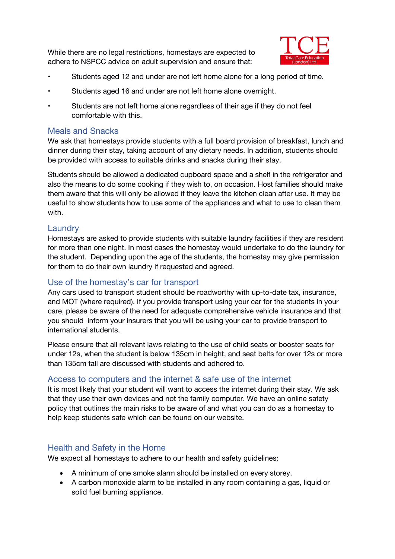While there are no legal restrictions, homestays are expected to adhere to NSPCC advice on adult supervision and ensure that:



- Students aged 12 and under are not left home alone for a long period of time.
- Students aged 16 and under are not left home alone overnight.
- Students are not left home alone regardless of their age if they do not feel comfortable with this.

#### Meals and Snacks

We ask that homestays provide students with a full board provision of breakfast, lunch and dinner during their stay, taking account of any dietary needs. In addition, students should be provided with access to suitable drinks and snacks during their stay.

*Students should be allowed a dedicated cupboard space and a shelf in the refrigerator and also the means to do some cooking ifthey wish to, on occasion. Host families should make* them aware that this will only be allowed if they leave the kitchen clean after use. It may be *useful to show students how to use some of the appliances and what to use to clean them with.*

#### **Laundry**

Homestays are asked to provide students with suitable laundry facilities if they are resident for more than one night. In most cases the homestay would undertake to do the laundry for the student. Depending upon the age of the students, the homestay may give permission for them to do their own laundry if requested and agreed.

### Use of the homestay's car for transport

Any cars used to transport student should be roadworthy with up-to-date tax, insurance, and MOT (where required). If you provide transport using your car for the students in your care, please be aware of the need for adequate comprehensive vehicle insurance and that you should inform your insurers that you will be using your car to provide transport to international students.

Please ensure that all relevant laws relating to the use of child seats or booster seats for under 12s, when the student is below 135cm in height, and seat belts for over 12s or more than 135cm tall are discussed with students and adhered to.

#### Access to computers and the internet & safe use of the internet

It is most likely that your student will want to access the internet during their stay. We ask that they use their own devices and not the family computer. We have an online safety policy that outlines the main risks to be aware of and what you can do as a homestay to help keep students safe which can be found on our website.

## Health and Safety in the Home

We expect all homestays to adhere to our health and safety guidelines:

- A minimum of one smoke alarm should be installed on every storey.
- A carbon monoxide alarm to be installed in any room containing a gas, liquid or solid fuel burning appliance.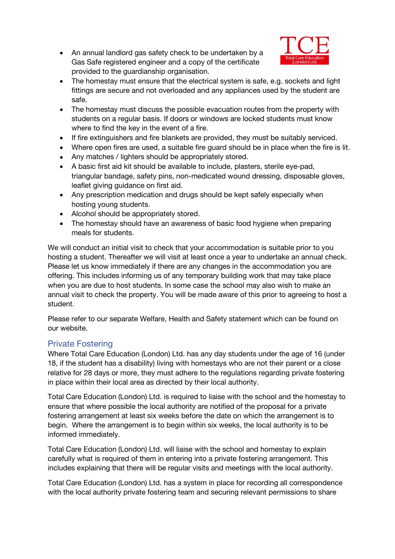• An annual landlord gas safety check to be undertaken by a Gas Safe registered engineer and a copy of the certificate provided to the guardianship organisation.



- The homestay must ensure that the electrical system is safe, e.g. sockets and light fittings are secure and not overloaded and any appliances used by the student are safe.
- The homestay must discuss the possible evacuation routes from the property with students on a regular basis. If doors or windows are locked students must know where to find the key in the event of a fire.
- If fire extinguishers and fire blankets are provided, they must be suitably serviced.
- Where open fires are used, a suitable fire guard should be in place when the fire is lit.
- Any matches / lighters should be appropriately stored.
- A basic first aid kit should be available to include, plasters, sterile eye-pad, triangular bandage, safety pins, non-medicated wound dressing, disposable gloves, leaflet giving guidance on first aid.
- Any prescription medication and drugs should be kept safely especially when hosting young students.
- Alcohol should be appropriately stored.
- The homestay should have an awareness of basic food hygiene when preparing meals for students.

We will conduct an initial visit to check that your accommodation is suitable prior to you hosting a student. Thereafter we will visit at least once a year to undertake an annual check. Please let us know immediately if there are any changes in the accommodation you are offering. This includes informing us of any temporary building work that may take place when you are due to host students. In some case the school may also wish to make an annual visit to check the property. You will be made aware of this prior to agreeing to host a student.

Please refer to our separate Welfare, Health and Safety statement which can be found on our website.

## Private Fostering

Where Total Care Education (London) Ltd. has any day students under the age of 16 (under 18, if the student has a disability) living with homestays who are not their parent or a close relative for 28 days or more, they must adhere to the regulations regarding private fostering in place within their local area as directed by their local authority.

Total Care Education (London) Ltd. is required to liaise with the school and the homestay to ensure that where possible the local authority are notified of the proposal for a private fostering arrangement at least six weeks before the date on which the arrangement is to begin. Where the arrangement is to begin within six weeks, the local authority is to be informed immediately.

Total Care Education (London) Ltd. will liaise with the school and homestay to explain carefully what is required of them in entering into a private fostering arrangement. This includes explaining that there will be regular visits and meetings with the local authority.

Total Care Education (London) Ltd. has a system in place for recording all correspondence with the local authority private fostering team and securing relevant permissions to share